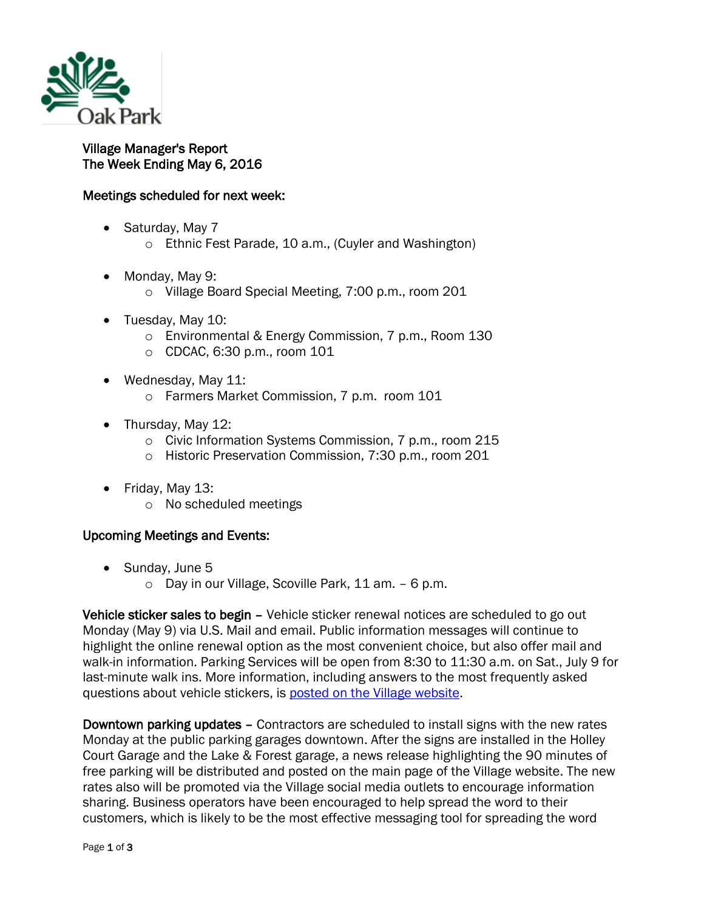

## Village Manager's Report The Week Ending May 6, 2016

## Meetings scheduled for next week:

- Saturday, May 7
	- o Ethnic Fest Parade, 10 a.m., (Cuyler and Washington)
- Monday, May 9:
	- o Village Board Special Meeting, 7:00 p.m., room 201
- Tuesday, May 10:
	- o Environmental & Energy Commission, 7 p.m., Room 130
	- o CDCAC, 6:30 p.m., room 101
- Wednesday, May 11:
	- o Farmers Market Commission, 7 p.m. room 101
- Thursday, May 12:
	- o Civic Information Systems Commission, 7 p.m., room 215
	- o Historic Preservation Commission, 7:30 p.m., room 201
- Friday, May 13:
	- o No scheduled meetings

## Upcoming Meetings and Events:

- Sunday, June 5
	- o Day in our Village, Scoville Park, 11 am. 6 p.m.

Vehicle sticker sales to begin – Vehicle sticker renewal notices are scheduled to go out Monday (May 9) via U.S. Mail and email. Public information messages will continue to highlight the online renewal option as the most convenient choice, but also offer mail and walk-in information. Parking Services will be open from 8:30 to 11:30 a.m. on Sat., July 9 for last-minute walk ins. More information, including answers to the most frequently asked questions about vehicle stickers, is [posted on the Village website.](http://www.oak-park.us/village-services/parking/vehicle-stickers)

Downtown parking updates – Contractors are scheduled to install signs with the new rates Monday at the public parking garages downtown. After the signs are installed in the Holley Court Garage and the Lake & Forest garage, a news release highlighting the 90 minutes of free parking will be distributed and posted on the main page of the Village website. The new rates also will be promoted via the Village social media outlets to encourage information sharing. Business operators have been encouraged to help spread the word to their customers, which is likely to be the most effective messaging tool for spreading the word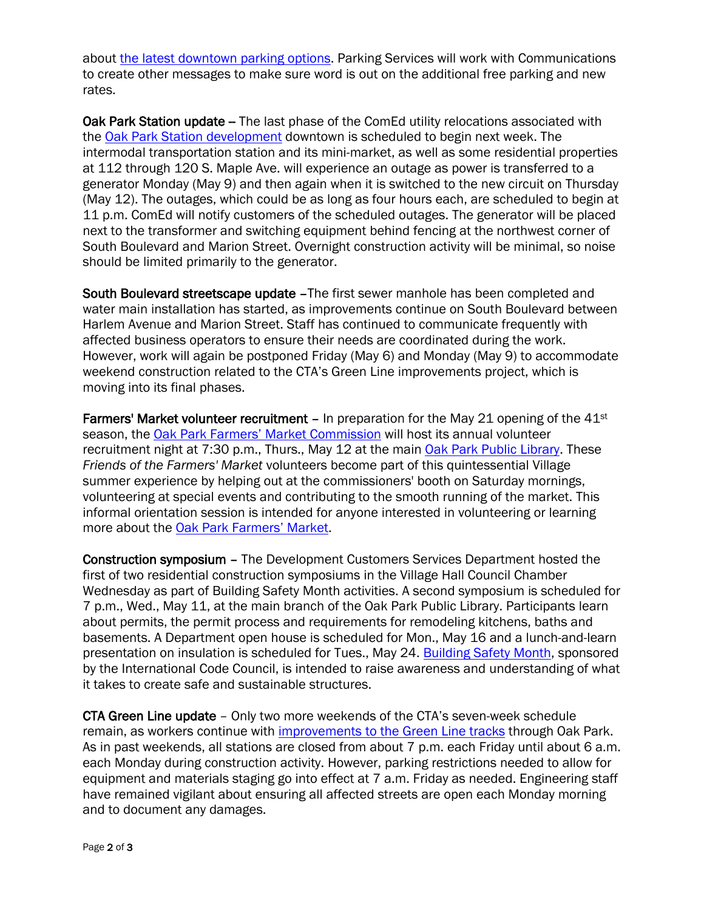about [the latest downtown parking options.](http://www.oak-park.us/news/parking-options-keep-expanding-downtown) Parking Services will work with Communications to create other messages to make sure word is out on the additional free parking and new rates.

Oak Park Station update - The last phase of the ComEd utility relocations associated with the [Oak Park Station development](http://www.oak-park.us/village-services/planning/projects/lake-westgate-project-page) downtown is scheduled to begin next week. The intermodal transportation station and its mini-market, as well as some residential properties at 112 through 120 S. Maple Ave. will experience an outage as power is transferred to a generator Monday (May 9) and then again when it is switched to the new circuit on Thursday (May 12). The outages, which could be as long as four hours each, are scheduled to begin at 11 p.m. ComEd will notify customers of the scheduled outages. The generator will be placed next to the transformer and switching equipment behind fencing at the northwest corner of South Boulevard and Marion Street. Overnight construction activity will be minimal, so noise should be limited primarily to the generator.

South Boulevard streetscape update –The first sewer manhole has been completed and water main installation has started, as improvements continue on South Boulevard between Harlem Avenue and Marion Street. Staff has continued to communicate frequently with affected business operators to ensure their needs are coordinated during the work. However, work will again be postponed Friday (May 6) and Monday (May 9) to accommodate weekend construction related to the CTA's Green Line improvements project, which is moving into its final phases.

**Farmers' Market volunteer recruitment –** In preparation for the May 21 opening of the  $41st$ season, the [Oak Park Farmers' Market Commission](http://www.oak-park.us/your-government/citizen-commissions/farmers-market-commission) will host its annual volunteer recruitment night at 7:30 p.m., Thurs., May 12 at the main [Oak Park Public Library.](http://r20.rs6.net/tn.jsp?e=001s2-JBJwRWjEBNg8oY226yzWTyJ9BXauFOCAtktUlasZ4xeUPVSxNAUfgZcZhGJwLXHeRPcqoThB2P3j8vOoZQbgj6_8WA8aUlRhHlR3PLsqOtQSoXLGyZfjma9fcRb66XIGtNmU1jiGyeMKhpfZCd2qpTPUtr04LsRte-m5XOEUSnjKEGOkZuoEtd-I68n4H2v2pBz9T1Yyw7-_c-9W0ZpHRAX2aJmzVVJTGpNKhPycuOlNOADY9vM5O6_8TXSuBnFEbkJP-jqRlG-5RILEThgRXp4iES759) These *Friends of the Farmers' Market* volunteers become part of this quintessential Village summer experience by helping out at the commissioners' booth on Saturday mornings, volunteering at special events and contributing to the smooth running of the market. This informal orientation session is intended for anyone interested in volunteering or learning more about the [Oak Park Farmers'](http://r20.rs6.net/tn.jsp?e=001s2-JBJwRWjEBNg8oY226yzWTyJ9BXauFOCAtktUlasZ4xeUPVSxNAUfgZcZhGJwL_uhw3b3VOnrL5NPDtzgE_lTl9OTlQliF51twEu2h4Q4A55OWLG5ay0YDHtG8UgelRnkYohzJ78vqkj5X0KUbcoYq9_ZgdNAe) Market.

Construction symposium – The Development Customers Services Department hosted the first of two residential construction symposiums in the Village Hall Council Chamber Wednesday as part of Building Safety Month activities. A second symposium is scheduled for 7 p.m., Wed., May 11, at the main branch of the Oak Park Public Library. Participants learn about permits, the permit process and requirements for remodeling kitchens, baths and basements. A Department open house is scheduled for Mon., May 16 and a lunch-and-learn presentation on insulation is scheduled for Tues., May 24. [Building Safety Month,](http://www.iccsafe.org/about-icc/building-safety-month/2016-building-safety-month/) sponsored by the International Code Council, is intended to raise awareness and understanding of what it takes to create safe and sustainable structures.

CTA Green Line update – Only two more weekends of the CTA's seven-week schedule remain, as workers continue with improvements [to the Green Line tracks](http://www.transitchicago.com/greenwest/) through Oak Park. As in past weekends, all stations are closed from about 7 p.m. each Friday until about 6 a.m. each Monday during construction activity. However, parking restrictions needed to allow for equipment and materials staging go into effect at 7 a.m. Friday as needed. Engineering staff have remained vigilant about ensuring all affected streets are open each Monday morning and to document any damages.